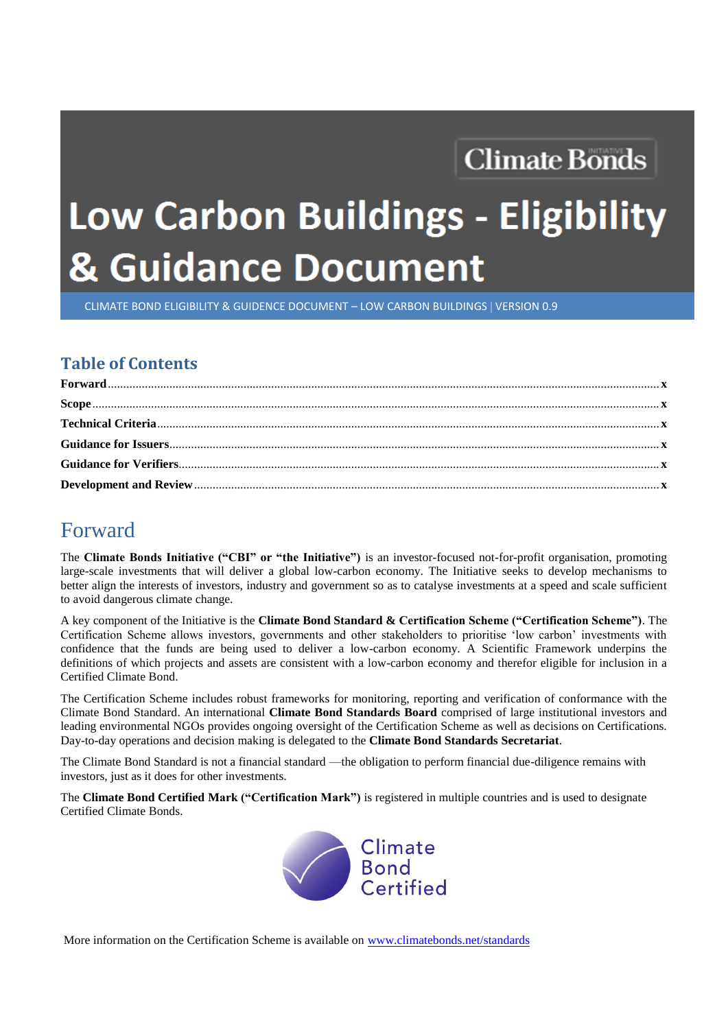## **Climate Bonds**

# Low Carbon Buildings - Eligibility & Guidance Document

CLIMATE BOND ELIGIBILITY & GUIDENCE DOCUMENT – LOW CARBON BUILDINGS VERSION 0.9

#### **Table of Contents**

### Forward

The **Climate Bonds Initiative ("CBI" or "the Initiative")** is an investor-focused not-for-profit organisation, promoting large-scale investments that will deliver a global low-carbon economy. The Initiative seeks to develop mechanisms to better align the interests of investors, industry and government so as to catalyse investments at a speed and scale sufficient to avoid dangerous climate change.

A key component of the Initiative is the **Climate Bond Standard & Certification Scheme ("Certification Scheme")**. The Certification Scheme allows investors, governments and other stakeholders to prioritise 'low carbon' investments with confidence that the funds are being used to deliver a low-carbon economy. A Scientific Framework underpins the definitions of which projects and assets are consistent with a low-carbon economy and therefor eligible for inclusion in a Certified Climate Bond.

The Certification Scheme includes robust frameworks for monitoring, reporting and verification of conformance with the Climate Bond Standard. An international **Climate Bond Standards Board** comprised of large institutional investors and leading environmental NGOs provides ongoing oversight of the Certification Scheme as well as decisions on Certifications. Day-to-day operations and decision making is delegated to the **Climate Bond Standards Secretariat**.

The Climate Bond Standard is not a financial standard —the obligation to perform financial due-diligence remains with investors, just as it does for other investments.

The **Climate Bond Certified Mark ("Certification Mark")** is registered in multiple countries and is used to designate Certified Climate Bonds.



More information on the Certification Scheme is available on [www.climatebonds.net/standards](file:///D:/Essential%20Change/Clients/Climate%20Bonds%20Initiative/Standards%20update/Working%20documents/www.climatebonds.net/standards)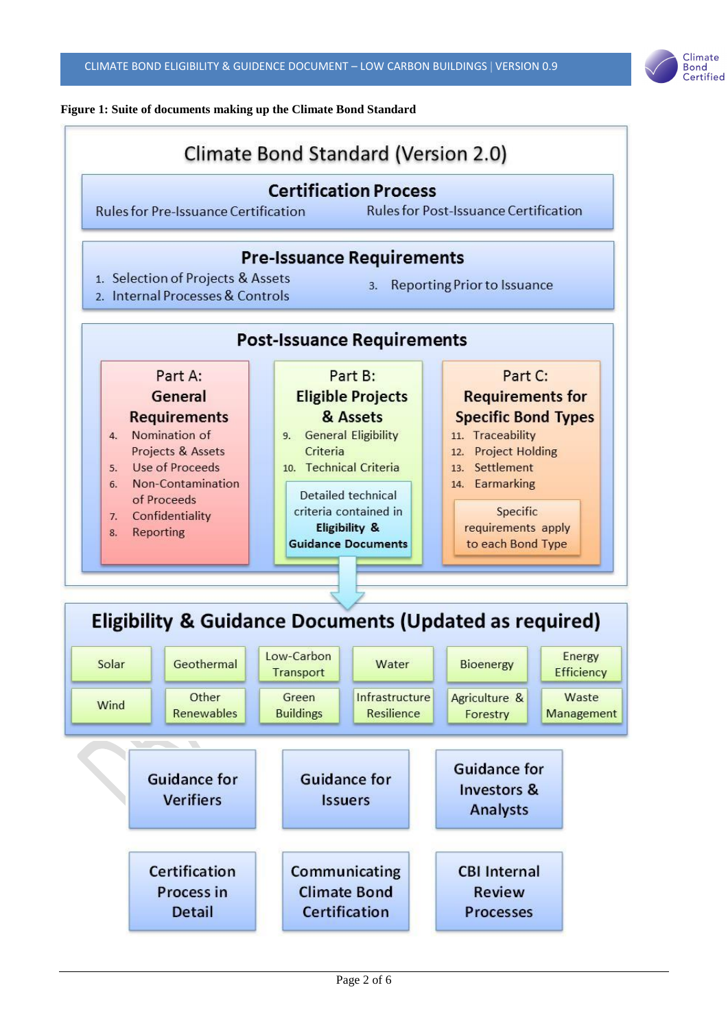

#### **Figure 1: Suite of documents making up the Climate Bond Standard**

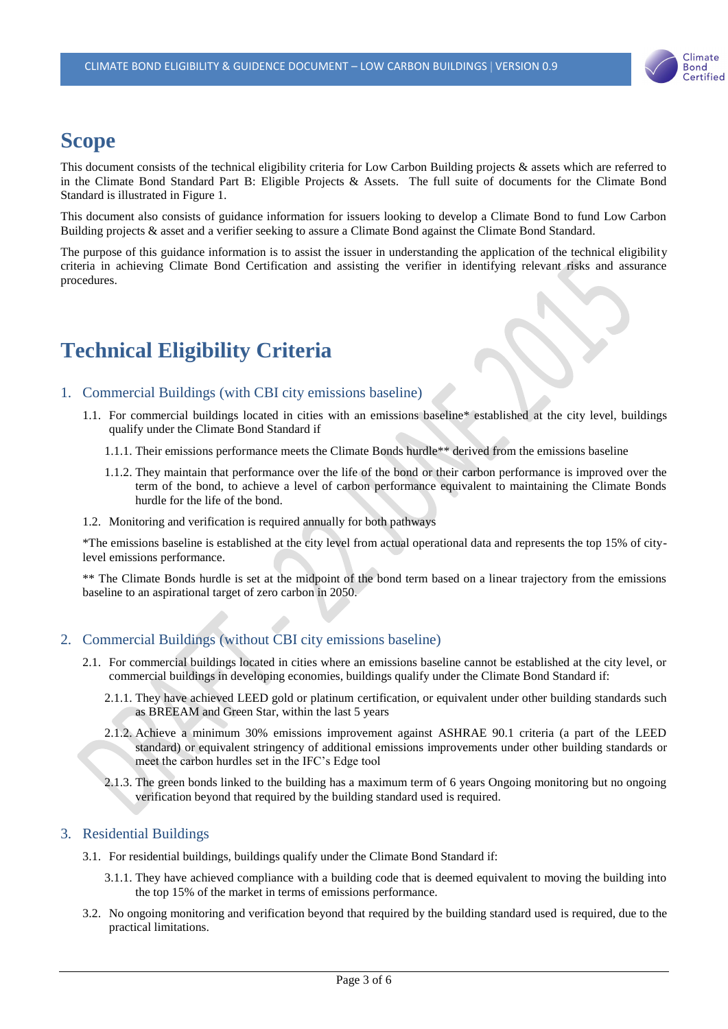

## **Scope**

This document consists of the technical eligibility criteria for Low Carbon Building projects & assets which are referred to in the Climate Bond Standard Part B: Eligible Projects & Assets. The full suite of documents for the Climate Bond Standard is illustrated in Figure 1.

This document also consists of guidance information for issuers looking to develop a Climate Bond to fund Low Carbon Building projects & asset and a verifier seeking to assure a Climate Bond against the Climate Bond Standard.

The purpose of this guidance information is to assist the issuer in understanding the application of the technical eligibility criteria in achieving Climate Bond Certification and assisting the verifier in identifying relevant risks and assurance procedures.

## **Technical Eligibility Criteria**

#### 1. Commercial Buildings (with CBI city emissions baseline)

- 1.1. For commercial buildings located in cities with an emissions baseline\* established at the city level, buildings qualify under the Climate Bond Standard if
	- 1.1.1. Their emissions performance meets the Climate Bonds hurdle\*\* derived from the emissions baseline
	- 1.1.2. They maintain that performance over the life of the bond or their carbon performance is improved over the term of the bond, to achieve a level of carbon performance equivalent to maintaining the Climate Bonds hurdle for the life of the bond.
- 1.2. Monitoring and verification is required annually for both pathways

\*The emissions baseline is established at the city level from actual operational data and represents the top 15% of citylevel emissions performance.

\*\* The Climate Bonds hurdle is set at the midpoint of the bond term based on a linear trajectory from the emissions baseline to an aspirational target of zero carbon in 2050.

#### 2. Commercial Buildings (without CBI city emissions baseline)

- 2.1. For commercial buildings located in cities where an emissions baseline cannot be established at the city level, or commercial buildings in developing economies, buildings qualify under the Climate Bond Standard if:
	- 2.1.1. They have achieved LEED gold or platinum certification, or equivalent under other building standards such as BREEAM and Green Star, within the last 5 years
	- 2.1.2. Achieve a minimum 30% emissions improvement against ASHRAE 90.1 criteria (a part of the LEED standard) or equivalent stringency of additional emissions improvements under other building standards or meet the carbon hurdles set in the IFC's Edge tool
	- 2.1.3. The green bonds linked to the building has a maximum term of 6 years Ongoing monitoring but no ongoing verification beyond that required by the building standard used is required.

#### 3. Residential Buildings

- 3.1. For residential buildings, buildings qualify under the Climate Bond Standard if:
	- 3.1.1. They have achieved compliance with a building code that is deemed equivalent to moving the building into the top 15% of the market in terms of emissions performance.
- 3.2. No ongoing monitoring and verification beyond that required by the building standard used is required, due to the practical limitations.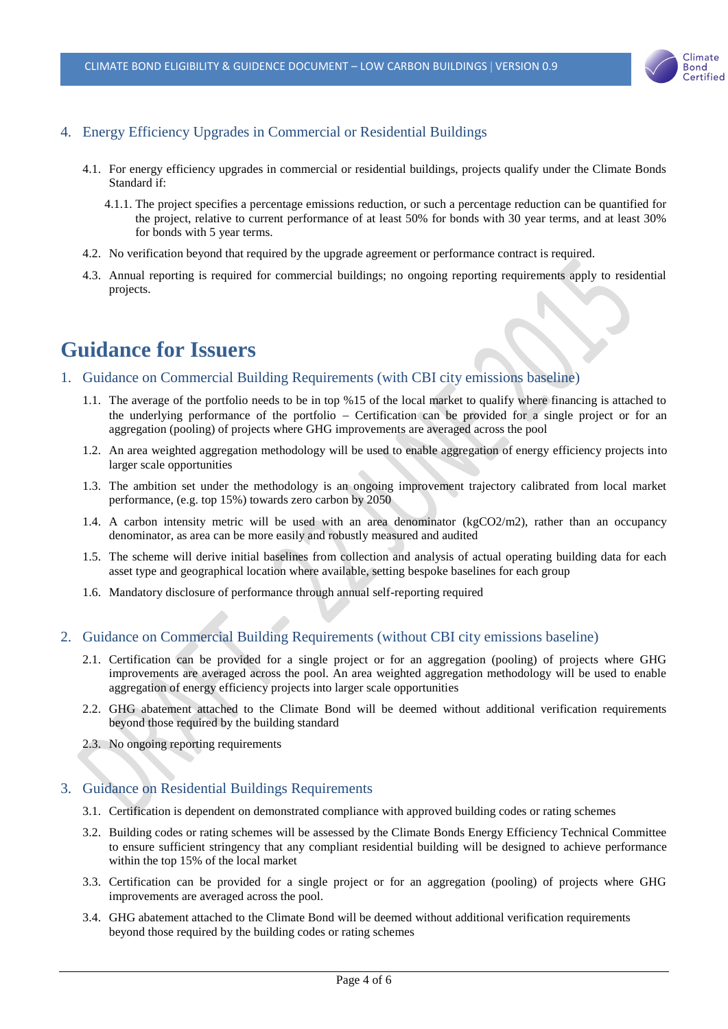

#### 4. Energy Efficiency Upgrades in Commercial or Residential Buildings

- 4.1. For energy efficiency upgrades in commercial or residential buildings, projects qualify under the Climate Bonds Standard if:
	- 4.1.1. The project specifies a percentage emissions reduction, or such a percentage reduction can be quantified for the project, relative to current performance of at least 50% for bonds with 30 year terms, and at least 30% for bonds with 5 year terms.
- 4.2. No verification beyond that required by the upgrade agreement or performance contract is required.
- 4.3. Annual reporting is required for commercial buildings; no ongoing reporting requirements apply to residential projects.

## **Guidance for Issuers**

- 1. Guidance on Commercial Building Requirements (with CBI city emissions baseline)
	- 1.1. The average of the portfolio needs to be in top %15 of the local market to qualify where financing is attached to the underlying performance of the portfolio – Certification can be provided for a single project or for an aggregation (pooling) of projects where GHG improvements are averaged across the pool
	- 1.2. An area weighted aggregation methodology will be used to enable aggregation of energy efficiency projects into larger scale opportunities
	- 1.3. The ambition set under the methodology is an ongoing improvement trajectory calibrated from local market performance, (e.g. top 15%) towards zero carbon by 2050
	- 1.4. A carbon intensity metric will be used with an area denominator (kgCO2/m2), rather than an occupancy denominator, as area can be more easily and robustly measured and audited
	- 1.5. The scheme will derive initial baselines from collection and analysis of actual operating building data for each asset type and geographical location where available, setting bespoke baselines for each group
	- 1.6. Mandatory disclosure of performance through annual self-reporting required

#### 2. Guidance on Commercial Building Requirements (without CBI city emissions baseline)

- 2.1. Certification can be provided for a single project or for an aggregation (pooling) of projects where GHG improvements are averaged across the pool. An area weighted aggregation methodology will be used to enable aggregation of energy efficiency projects into larger scale opportunities
- 2.2. GHG abatement attached to the Climate Bond will be deemed without additional verification requirements beyond those required by the building standard
- 2.3. No ongoing reporting requirements

#### 3. Guidance on Residential Buildings Requirements

- 3.1. Certification is dependent on demonstrated compliance with approved building codes or rating schemes
- 3.2. Building codes or rating schemes will be assessed by the Climate Bonds Energy Efficiency Technical Committee to ensure sufficient stringency that any compliant residential building will be designed to achieve performance within the top 15% of the local market
- 3.3. Certification can be provided for a single project or for an aggregation (pooling) of projects where GHG improvements are averaged across the pool.
- 3.4. GHG abatement attached to the Climate Bond will be deemed without additional verification requirements beyond those required by the building codes or rating schemes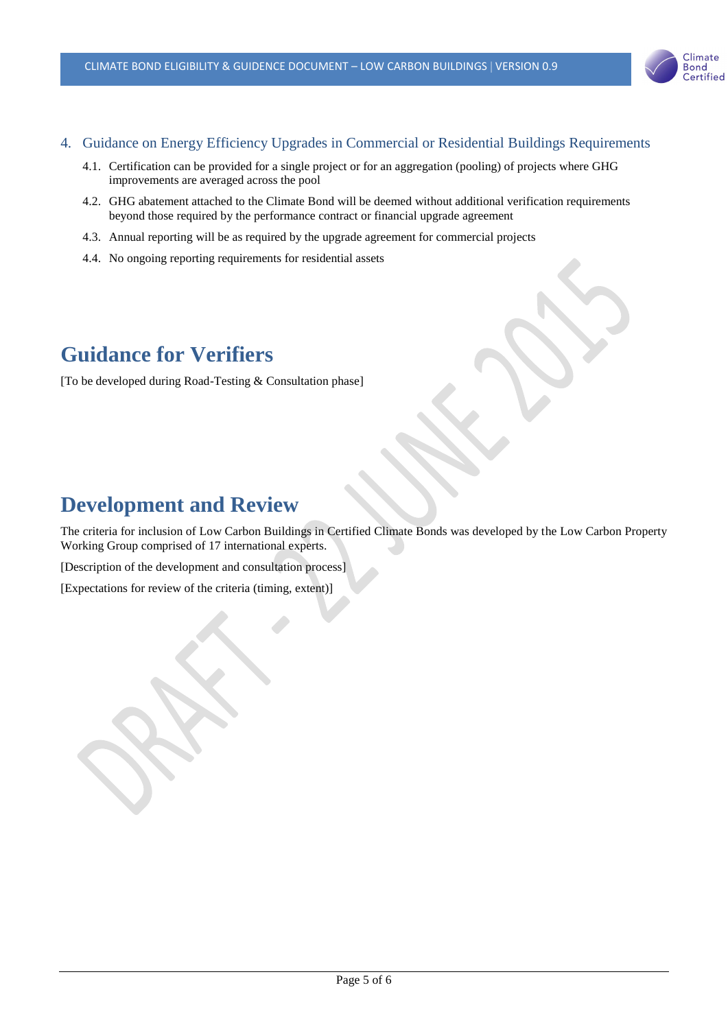

#### 4. Guidance on Energy Efficiency Upgrades in Commercial or Residential Buildings Requirements

- 4.1. Certification can be provided for a single project or for an aggregation (pooling) of projects where GHG improvements are averaged across the pool
- 4.2. GHG abatement attached to the Climate Bond will be deemed without additional verification requirements beyond those required by the performance contract or financial upgrade agreement
- 4.3. Annual reporting will be as required by the upgrade agreement for commercial projects
- 4.4. No ongoing reporting requirements for residential assets

## **Guidance for Verifiers**

[To be developed during Road-Testing & Consultation phase]

## **Development and Review**

The criteria for inclusion of Low Carbon Buildings in Certified Climate Bonds was developed by the Low Carbon Property Working Group comprised of 17 international experts.

[Description of the development and consultation process]

[Expectations for review of the criteria (timing, extent)]